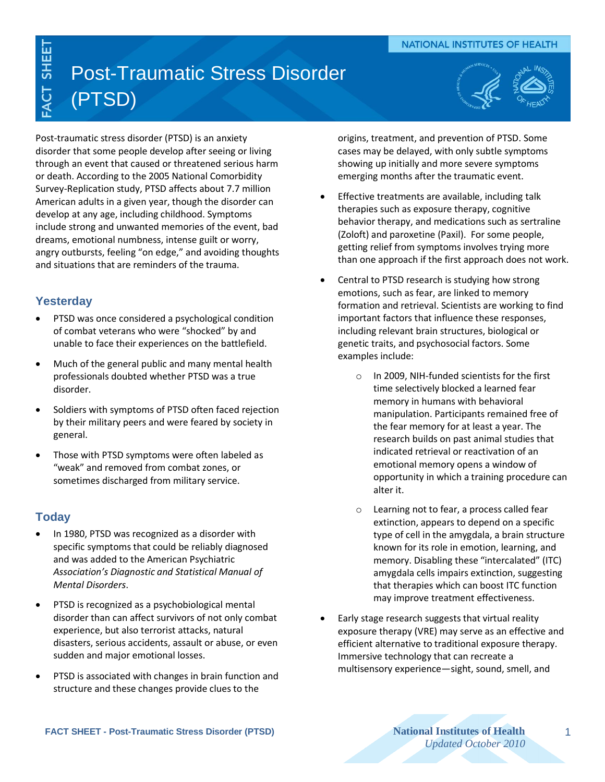### **NATIONAL INSTITUTES OF HEALTH**

# Post-Traumatic Stress Disorder (PTSD)



Post-traumatic stress disorder (PTSD) is an anxiety disorder that some people develop after seeing or living through an event that caused or threatened serious harm or death. According to the 2005 National Comorbidity Survey-Replication study, PTSD affects about 7.7 million American adults in a given year, though the disorder can develop at any age, including childhood. Symptoms include strong and unwanted memories of the event, bad dreams, emotional numbness, intense guilt or worry, angry outbursts, feeling "on edge," and avoiding thoughts and situations that are reminders of the trauma.

## **Yesterday**

ACT SHEET

- PTSD was once considered a psychological condition of combat veterans who were "shocked" by and unable to face their experiences on the battlefield.
- Much of the general public and many mental health professionals doubted whether PTSD was a true disorder.
- Soldiers with symptoms of PTSD often faced rejection by their military peers and were feared by society in general.
- Those with PTSD symptoms were often labeled as "weak" and removed from combat zones, or sometimes discharged from military service.

## **Today**

- In 1980, PTSD was recognized as a disorder with specific symptoms that could be reliably diagnosed and was added to the American Psychiatric *Association's Diagnostic and Statistical Manual of Mental Disorders*.
- PTSD is recognized as a psychobiological mental disorder than can affect survivors of not only combat experience, but also terrorist attacks, natural disasters, serious accidents, assault or abuse, or even sudden and major emotional losses.
- PTSD is associated with changes in brain function and structure and these changes provide clues to the

origins, treatment, and prevention of PTSD. Some cases may be delayed, with only subtle symptoms showing up initially and more severe symptoms emerging months after the traumatic event.

- **Effective treatments are available, including talk** therapies such as exposure therapy, cognitive behavior therapy, and medications such as sertraline (Zoloft) and paroxetine (Paxil). For some people, getting relief from symptoms involves trying more than one approach if the first approach does not work.
- Central to PTSD research is studying how strong emotions, such as fear, are linked to memory formation and retrieval. Scientists are working to find important factors that influence these responses, including relevant brain structures, biological or genetic traits, and psychosocial factors. Some examples include:
	- o In 2009, NIH-funded scientists for the first time selectively blocked a learned fear memory in humans with behavioral manipulation. Participants remained free of the fear memory for at least a year. The research builds on past animal studies that indicated retrieval or reactivation of an emotional memory opens a window of opportunity in which a training procedure can alter it.
	- o Learning not to fear, a process called fear extinction, appears to depend on a specific type of cell in the amygdala, a brain structure known for its role in emotion, learning, and memory. Disabling these "intercalated" (ITC) amygdala cells impairs extinction, suggesting that therapies which can boost ITC function may improve treatment effectiveness.
- Early stage research suggests that virtual reality exposure therapy (VRE) may serve as an effective and efficient alternative to traditional exposure therapy. Immersive technology that can recreate a multisensory experience—sight, sound, smell, and